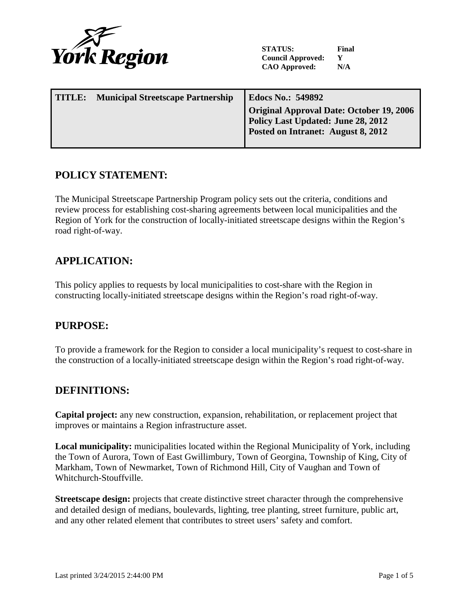

**STATUS: Final Council Approved: Y CAO Approved: N/A**

| TITLE: | <b>Municipal Streetscape Partnership</b> | <b>Edocs No.: 549892</b>                                                                                             |  |
|--------|------------------------------------------|----------------------------------------------------------------------------------------------------------------------|--|
|        |                                          | Original Approval Date: October 19, 2006<br>Policy Last Updated: June 28, 2012<br>Posted on Intranet: August 8, 2012 |  |
|        |                                          |                                                                                                                      |  |

## **POLICY STATEMENT:**

The Municipal Streetscape Partnership Program policy sets out the criteria, conditions and review process for establishing cost-sharing agreements between local municipalities and the Region of York for the construction of locally-initiated streetscape designs within the Region's road right-of-way.

## **APPLICATION:**

This policy applies to requests by local municipalities to cost-share with the Region in constructing locally-initiated streetscape designs within the Region's road right-of-way.

# **PURPOSE:**

To provide a framework for the Region to consider a local municipality's request to cost-share in the construction of a locally-initiated streetscape design within the Region's road right-of-way.

### **DEFINITIONS:**

**Capital project:** any new construction, expansion, rehabilitation, or replacement project that improves or maintains a Region infrastructure asset.

**Local municipality:** municipalities located within the Regional Municipality of York, including the Town of Aurora, Town of East Gwillimbury, Town of Georgina, Township of King, City of Markham, Town of Newmarket, Town of Richmond Hill, City of Vaughan and Town of Whitchurch-Stouffville.

**Streetscape design:** projects that create distinctive street character through the comprehensive and detailed design of medians, boulevards, lighting, tree planting, street furniture, public art, and any other related element that contributes to street users' safety and comfort.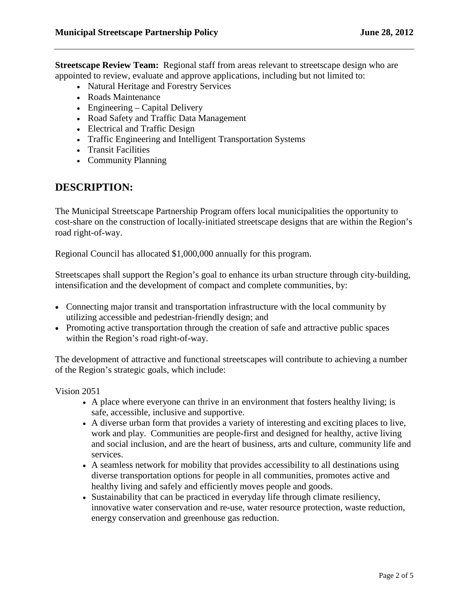**Streetscape Review Team:** Regional staff from areas relevant to streetscape design who are appointed to review, evaluate and approve applications, including but not limited to:

- Natural Heritage and Forestry Services
- Roads Maintenance
- Engineering Capital Delivery
- Road Safety and Traffic Data Management
- Electrical and Traffic Design
- Traffic Engineering and Intelligent Transportation Systems
- Transit Facilities
- Community Planning

## **DESCRIPTION:**

The Municipal Streetscape Partnership Program offers local municipalities the opportunity to cost-share on the construction of locally-initiated streetscape designs that are within the Region's road right-of-way.

Regional Council has allocated \$1,000,000 annually for this program.

Streetscapes shall support the Region's goal to enhance its urban structure through city-building, intensification and the development of compact and complete communities, by:

- Connecting major transit and transportation infrastructure with the local community by utilizing accessible and pedestrian-friendly design; and
- Promoting active transportation through the creation of safe and attractive public spaces within the Region's road right-of-way.

The development of attractive and functional streetscapes will contribute to achieving a number of the Region's strategic goals, which include:

Vision 2051

- A place where everyone can thrive in an environment that fosters healthy living; is safe, accessible, inclusive and supportive.
- A diverse urban form that provides a variety of interesting and exciting places to live, work and play. Communities are people-first and designed for healthy, active living and social inclusion, and are the heart of business, arts and culture, community life and services.
- A seamless network for mobility that provides accessibility to all destinations using diverse transportation options for people in all communities, promotes active and healthy living and safely and efficiently moves people and goods.
- Sustainability that can be practiced in everyday life through climate resiliency, innovative water conservation and re-use, water resource protection, waste reduction, energy conservation and greenhouse gas reduction.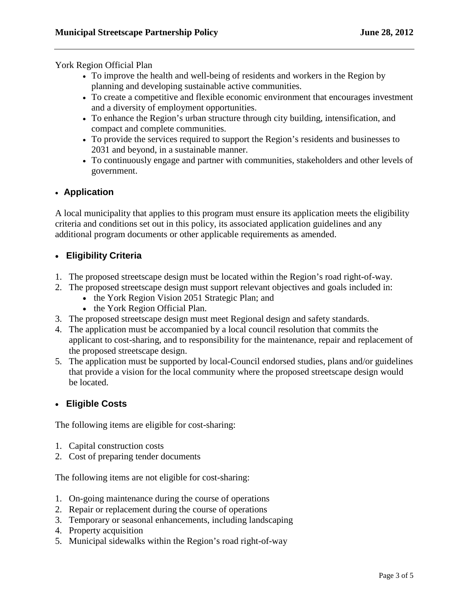York Region Official Plan

- To improve the health and well-being of residents and workers in the Region by planning and developing sustainable active communities.
- To create a competitive and flexible economic environment that encourages investment and a diversity of employment opportunities.
- To enhance the Region's urban structure through city building, intensification, and compact and complete communities.
- To provide the services required to support the Region's residents and businesses to 2031 and beyond, in a sustainable manner.
- To continuously engage and partner with communities, stakeholders and other levels of government.

### • **Application**

A local municipality that applies to this program must ensure its application meets the eligibility criteria and conditions set out in this policy, its associated application guidelines and any additional program documents or other applicable requirements as amended.

### • **Eligibility Criteria**

- 1. The proposed streetscape design must be located within the Region's road right-of-way.
- 2. The proposed streetscape design must support relevant objectives and goals included in:
	- the York Region Vision 2051 Strategic Plan; and
	- the York Region Official Plan.
- 3. The proposed streetscape design must meet Regional design and safety standards.
- 4. The application must be accompanied by a local council resolution that commits the applicant to cost-sharing, and to responsibility for the maintenance, repair and replacement of the proposed streetscape design.
- 5. The application must be supported by local-Council endorsed studies, plans and/or guidelines that provide a vision for the local community where the proposed streetscape design would be located.

#### • **Eligible Costs**

The following items are eligible for cost-sharing:

- 1. Capital construction costs
- 2. Cost of preparing tender documents

The following items are not eligible for cost-sharing:

- 1. On-going maintenance during the course of operations
- 2. Repair or replacement during the course of operations
- 3. Temporary or seasonal enhancements, including landscaping
- 4. Property acquisition
- 5. Municipal sidewalks within the Region's road right-of-way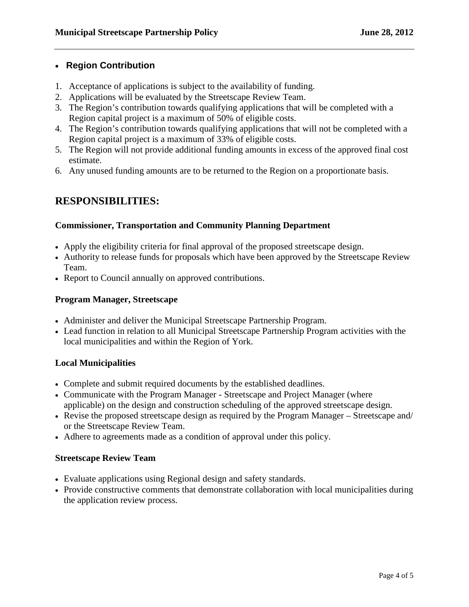### • **Region Contribution**

- 1. Acceptance of applications is subject to the availability of funding.
- 2. Applications will be evaluated by the Streetscape Review Team.
- 3. The Region's contribution towards qualifying applications that will be completed with a Region capital project is a maximum of 50% of eligible costs.
- 4. The Region's contribution towards qualifying applications that will not be completed with a Region capital project is a maximum of 33% of eligible costs.
- 5. The Region will not provide additional funding amounts in excess of the approved final cost estimate.
- 6. Any unused funding amounts are to be returned to the Region on a proportionate basis.

## **RESPONSIBILITIES:**

### **Commissioner, Transportation and Community Planning Department**

- Apply the eligibility criteria for final approval of the proposed streetscape design.
- Authority to release funds for proposals which have been approved by the Streetscape Review Team.
- Report to Council annually on approved contributions.

### **Program Manager, Streetscape**

- Administer and deliver the Municipal Streetscape Partnership Program.
- Lead function in relation to all Municipal Streetscape Partnership Program activities with the local municipalities and within the Region of York.

### **Local Municipalities**

- Complete and submit required documents by the established deadlines.
- Communicate with the Program Manager Streetscape and Project Manager (where applicable) on the design and construction scheduling of the approved streetscape design.
- Revise the proposed streetscape design as required by the Program Manager Streetscape and/ or the Streetscape Review Team.
- Adhere to agreements made as a condition of approval under this policy.

#### **Streetscape Review Team**

- Evaluate applications using Regional design and safety standards.
- Provide constructive comments that demonstrate collaboration with local municipalities during the application review process.